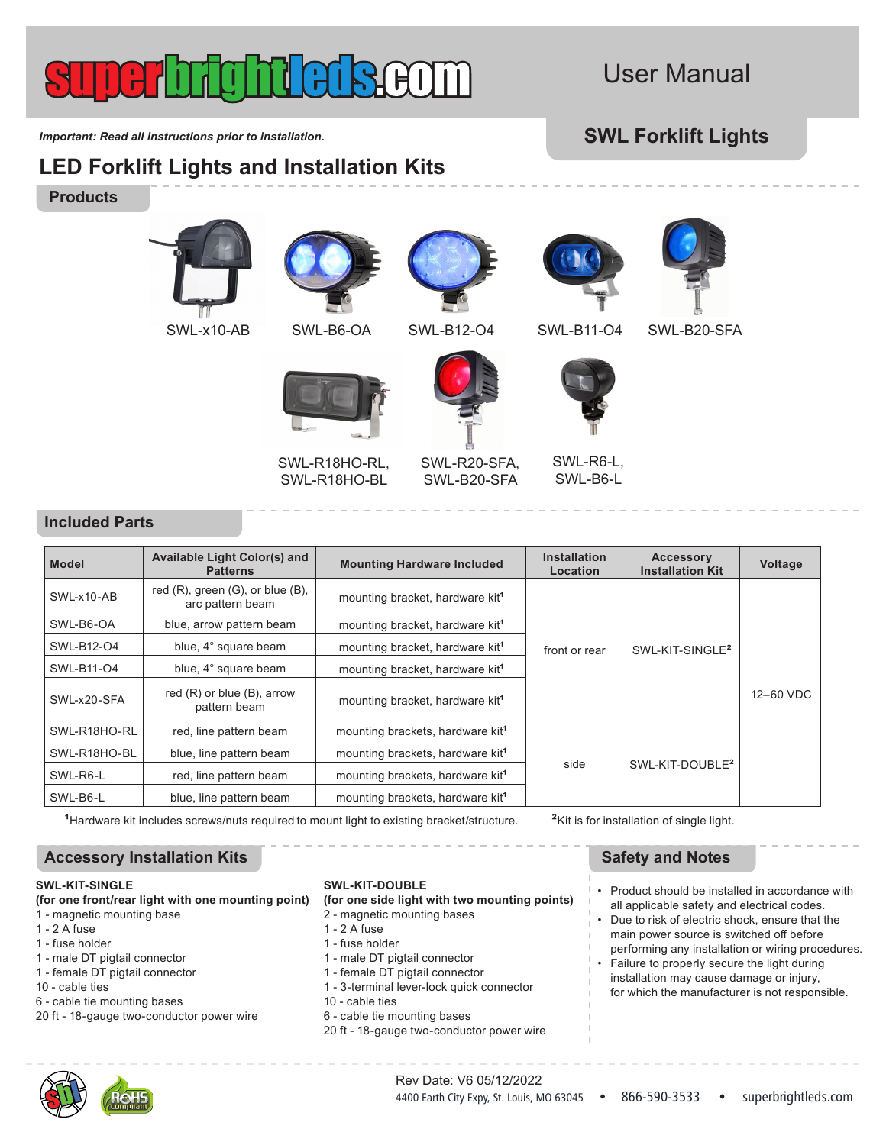# User Manual

*Important: Read all instructions prior to installation.* **SWL Forklift Lights** 

**LED Forklift Lights and Installation Kits**

## **Products**







SWL-R18HO-RL, SWL-R18HO-BL



SWL-R20-SFA, SWL-B20-SFA





SWL-R6-L, SWL-B6-L



SWL-x10-AB SWL-B6-OA SWL-B12-O4 SWL-B11-O4 SWL-B20-SFA



**Included Parts**

| <b>Model</b> | <b>Available Light Color(s) and</b><br><b>Patterns</b>        | <b>Mounting Hardware Included</b>            | <b>Installation</b><br>Location | <b>Accessory</b><br><b>Installation Kit</b> | Voltage   |
|--------------|---------------------------------------------------------------|----------------------------------------------|---------------------------------|---------------------------------------------|-----------|
| SWL-x10-AB   | red $(R)$ , green $(G)$ , or blue $(B)$ ,<br>arc pattern beam | mounting bracket, hardware kit <sup>1</sup>  | front or rear                   | SWL-KIT-SINGLE <sup>2</sup>                 | 12-60 VDC |
| SWL-B6-OA    | blue, arrow pattern beam                                      | mounting bracket, hardware kit <sup>1</sup>  |                                 |                                             |           |
| SWL-B12-O4   | blue, 4° square beam                                          | mounting bracket, hardware kit <sup>1</sup>  |                                 |                                             |           |
| SWL-B11-04   | blue, 4° square beam                                          | mounting bracket, hardware kit <sup>1</sup>  |                                 |                                             |           |
| SWL-x20-SFA  | red (R) or blue (B), arrow<br>pattern beam                    | mounting bracket, hardware kit <sup>1</sup>  |                                 |                                             |           |
| SWL-R18HO-RL | red, line pattern beam                                        | mounting brackets, hardware kit <sup>1</sup> | side                            | SWL-KIT-DOUBLE <sup>2</sup>                 |           |
| SWL-R18HO-BL | blue, line pattern beam                                       | mounting brackets, hardware kit <sup>1</sup> |                                 |                                             |           |
| SWL-R6-L     | red, line pattern beam                                        | mounting brackets, hardware kit <sup>1</sup> |                                 |                                             |           |
| SWL-B6-L     | blue, line pattern beam                                       | mounting brackets, hardware kit <sup>1</sup> |                                 |                                             |           |

<sup>1</sup>Hardware kit includes screws/nuts required to mount light to existing bracket/structure.

## Accessory Installation Kits **SAFET ACCESSORY Safety and Notes SAFET ACCESSORY Installation Kits**

## **SWL-KIT-SINGLE**

- **(for one front/rear light with one mounting point)**
- 1 magnetic mounting base
- 1 2 A fuse
- 1 fuse holder
- 1 male DT pigtail connector
- 1 female DT pigtail connector
- 10 cable ties
- 6 cable tie mounting bases
- 20 ft 18-gauge two-conductor power wire

## **SWL-KIT-DOUBLE**

**(for one side light with two mounting points)**

- 2 magnetic mounting bases
- 1 2 A fuse
- 1 fuse holder
- 1 male DT pigtail connector
- 1 female DT pigtail connector
- 1 3-terminal lever-lock quick connector
- 10 cable ties
- 6 cable tie mounting bases
- 20 ft 18-gauge two-conductor power wire

**²**Kit is for installation of single light.

- Product should be installed in accordance with all applicable safety and electrical codes.
- Due to risk of electric shock, ensure that the main power source is switched off before performing any installation or wiring procedures.
- Failure to properly secure the light during installation may cause damage or injury, for which the manufacturer is not responsible.

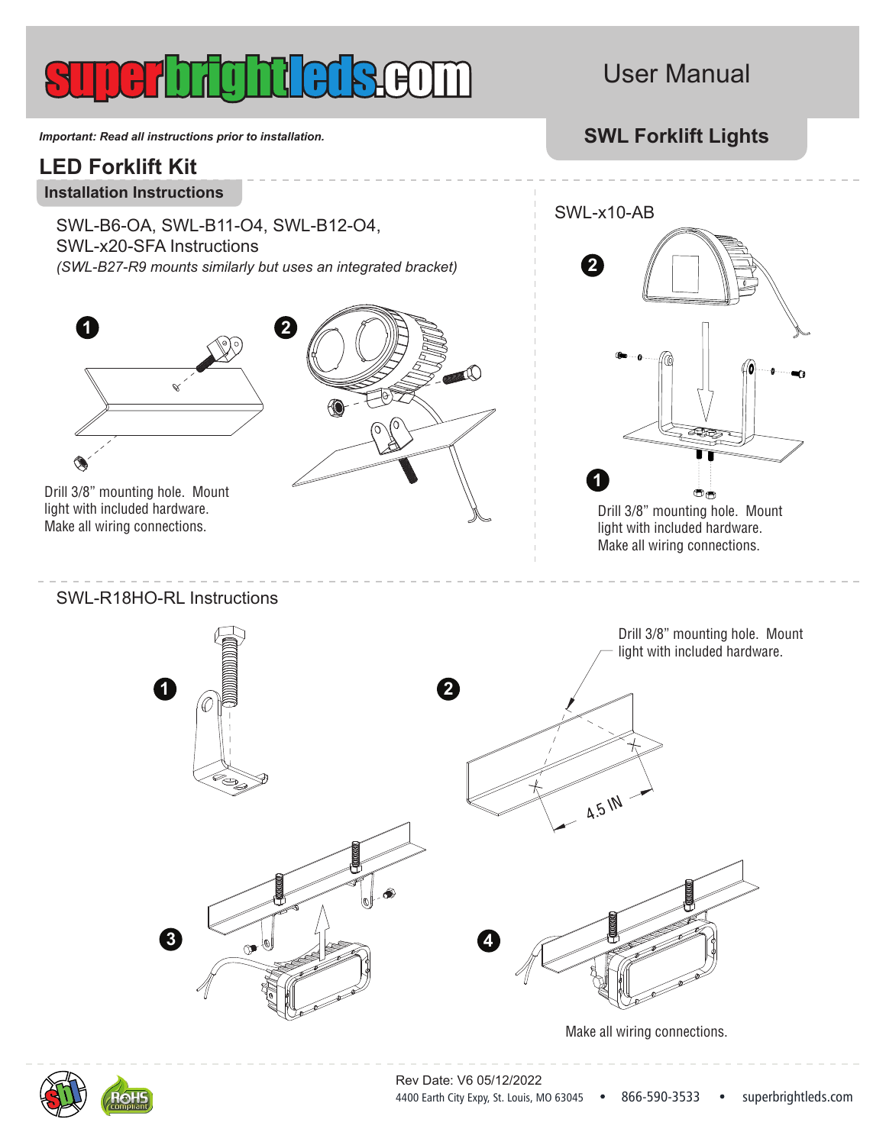# $(H()$

# User Manual

*Important: Read all instructions prior to installation.* **SWL Forklift Lights** 

# **LED Forklift Kit**

**Installation Instructions**

SWL-B6-OA, SWL-B11-O4, SWL-B12-O4, SWL-x20-SFA Instructions *(SWL-B27-R9 mounts similarly but uses an integrated bracket)*



Drill 3/8" mounting hole. Mount light with included hardware. Make all wiring connections.

SWL-R18HO-RL Instructions

**1**





Drill 3/8" mounting hole. Mount light with included hardware. Make all wiring connections.

Drill 3/8" mounting hole. Mount light with included hardware.



Make all wiring connections.

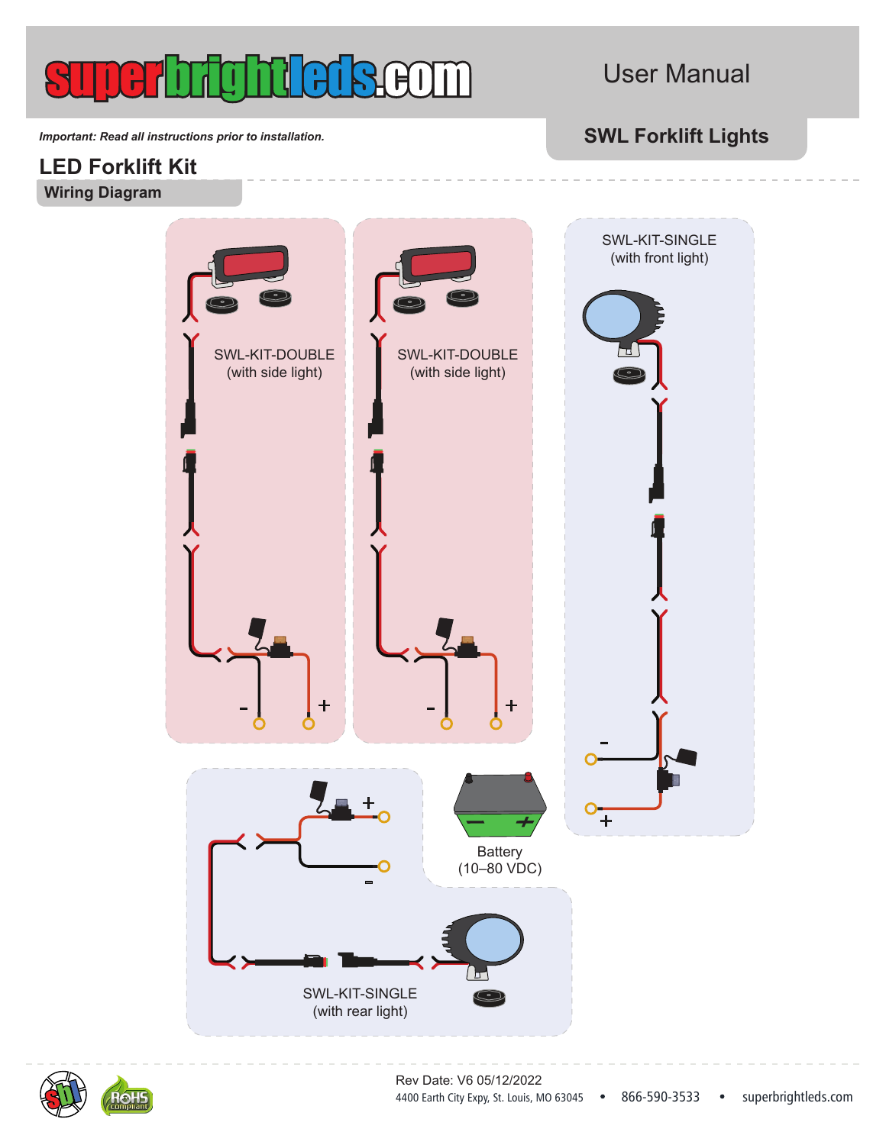

# User Manual

*Important: Read all instructions prior to installation.* **SWL Forklift Lights** 

## **LED Forklift Kit Wiring Diagram**